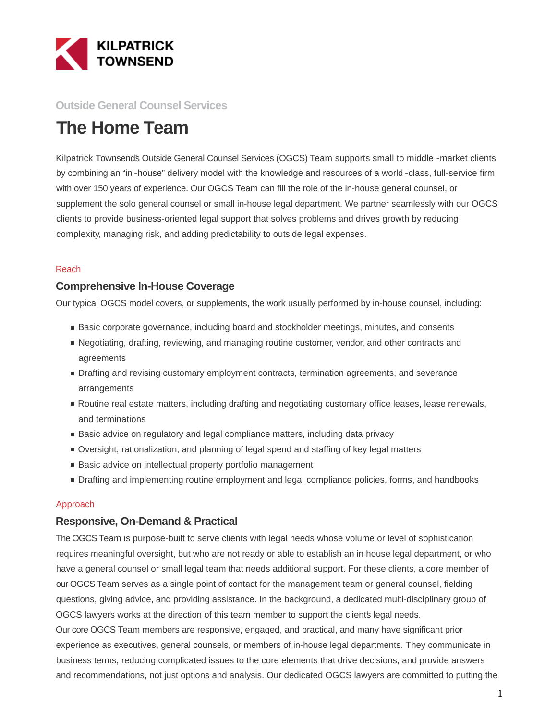

### **Outside General Counsel Services**

# **The Home Team**

Kilpatrick Townsend's Outside General Counsel Services (OGCS) Team supports small to middle -market clients by combining an "in -house" delivery model with the knowledge and resources of a world -class, full-service firm with over 150 years of experience. Our OGCS Team can fill the role of the in-house general counsel, or supplement the solo general counsel or small in-house legal department. We partner seamlessly with our OGCS clients to provide business-oriented legal support that solves problems and drives growth by reducing complexity, managing risk, and adding predictability to outside legal expenses.

#### Reach

#### **Comprehensive In-House Coverage**

Our typical OGCS model covers, or supplements, the work usually performed by in-house counsel, including:

- **Basic corporate governance, including board and stockholder meetings, minutes, and consents**
- Negotiating, drafting, reviewing, and managing routine customer, vendor, and other contracts and agreements
- **Drafting and revising customary employment contracts, termination agreements, and severance** arrangements
- Routine real estate matters, including drafting and negotiating customary office leases, lease renewals, and terminations
- **Basic advice on regulatory and legal compliance matters, including data privacy**
- Oversight, rationalization, and planning of legal spend and staffing of key legal matters
- Basic advice on intellectual property portfolio management
- **Drafting and implementing routine employment and legal compliance policies, forms, and handbooks**

#### Approach

#### **Responsive, On-Demand & Practical**

The OGCS Team is purpose-built to serve clients with legal needs whose volume or level of sophistication requires meaningful oversight, but who are not ready or able to establish an in house legal department, or who have a general counsel or small legal team that needs additional support. For these clients, a core member of our OGCS Team serves as a single point of contact for the management team or general counsel, fielding questions, giving advice, and providing assistance. In the background, a dedicated multi-disciplinary group of OGCS lawyers works at the direction of this team member to support the clients legal needs. Our core OGCS Team members are responsive, engaged, and practical, and many have significant prior experience as executives, general counsels, or members of in-house legal departments. They communicate in business terms, reducing complicated issues to the core elements that drive decisions, and provide answers and recommendations, not just options and analysis. Our dedicated OGCS lawyers are committed to putting the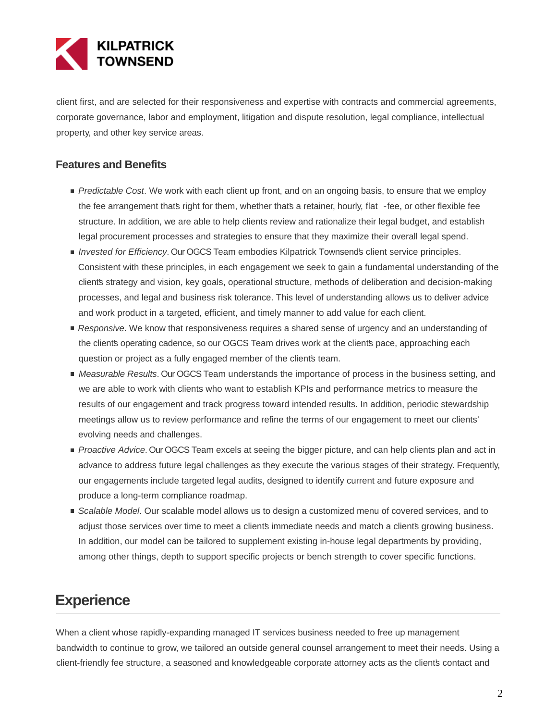

client first, and are selected for their responsiveness and expertise with contracts and commercial agreements, corporate governance, labor and employment, litigation and dispute resolution, legal compliance, intellectual property, and other key service areas.

### **Features and Benefits**

- Predictable Cost. We work with each client up front, and on an ongoing basis, to ensure that we employ the fee arrangement that's right for them, whether that's a retainer, hourly, flat -fee, or other flexible fee structure. In addition, we are able to help clients review and rationalize their legal budget, and establish legal procurement processes and strategies to ensure that they maximize their overall legal spend.
- Invested for Efficiency. Our OGCS Team embodies Kilpatrick Townsend's client service principles. Consistent with these principles, in each engagement we seek to gain a fundamental understanding of the client's strategy and vision, key goals, operational structure, methods of deliberation and decision-making processes, and legal and business risk tolerance. This level of understanding allows us to deliver advice and work product in a targeted, efficient, and timely manner to add value for each client.
- Responsive. We know that responsiveness requires a shared sense of urgency and an understanding of the client's operating cadence, so our OGCS Team drives work at the client's pace, approaching each question or project as a fully engaged member of the client's team.
- **Measurable Results. Our OGCS Team understands the importance of process in the business setting, and** we are able to work with clients who want to establish KPIs and performance metrics to measure the results of our engagement and track progress toward intended results. In addition, periodic stewardship meetings allow us to review performance and refine the terms of our engagement to meet our clients' evolving needs and challenges.
- Proactive Advice. Our OGCS Team excels at seeing the bigger picture, and can help clients plan and act in advance to address future legal challenges as they execute the various stages of their strategy. Frequently, our engagements include targeted legal audits, designed to identify current and future exposure and produce a long-term compliance roadmap.
- Scalable Model. Our scalable model allows us to design a customized menu of covered services, and to adjust those services over time to meet a clients immediate needs and match a clients growing business. In addition, our model can be tailored to supplement existing in-house legal departments by providing, among other things, depth to support specific projects or bench strength to cover specific functions.

## **Experience**

When a client whose rapidly-expanding managed IT services business needed to free up management bandwidth to continue to grow, we tailored an outside general counsel arrangement to meet their needs. Using a client-friendly fee structure, a seasoned and knowledgeable corporate attorney acts as the client's contact and